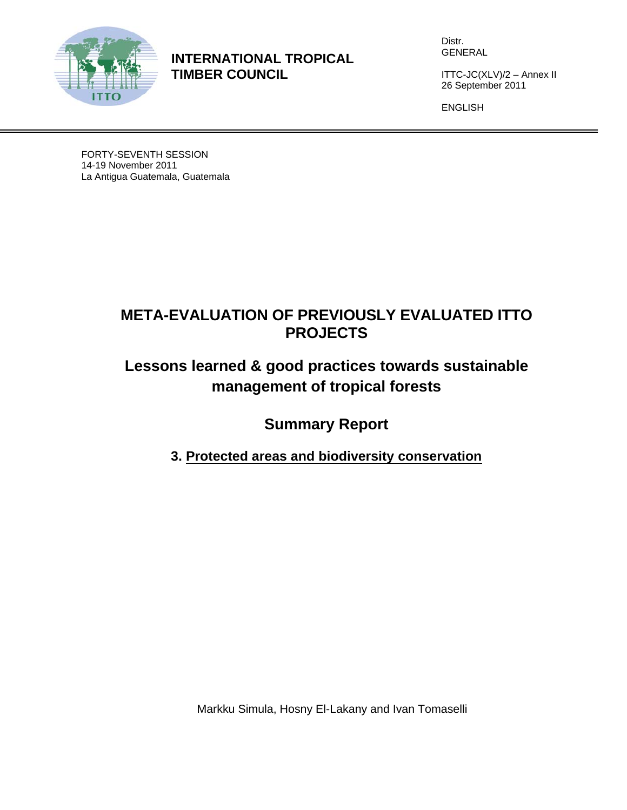

**INTERNATIONAL TROPICAL TIMBER COUNCIL** 

Distr. GENERAL

ITTC-JC(XLV)/2 – Annex II 26 September 2011

ENGLISH

FORTY-SEVENTH SESSION 14-19 November 2011 La Antigua Guatemala, Guatemala

## **META-EVALUATION OF PREVIOUSLY EVALUATED ITTO PROJECTS**

# **Lessons learned & good practices towards sustainable management of tropical forests**

**Summary Report** 

**3. Protected areas and biodiversity conservation**

Markku Simula, Hosny El-Lakany and Ivan Tomaselli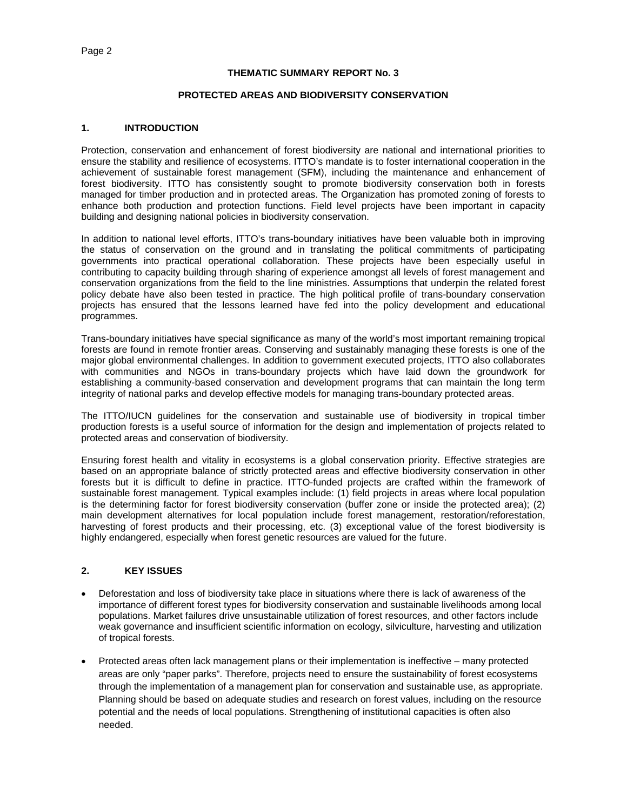#### **THEMATIC SUMMARY REPORT No. 3**

#### **PROTECTED AREAS AND BIODIVERSITY CONSERVATION**

#### **1. INTRODUCTION**

Protection, conservation and enhancement of forest biodiversity are national and international priorities to ensure the stability and resilience of ecosystems. ITTO's mandate is to foster international cooperation in the achievement of sustainable forest management (SFM), including the maintenance and enhancement of forest biodiversity. ITTO has consistently sought to promote biodiversity conservation both in forests managed for timber production and in protected areas. The Organization has promoted zoning of forests to enhance both production and protection functions. Field level projects have been important in capacity building and designing national policies in biodiversity conservation.

In addition to national level efforts, ITTO's trans-boundary initiatives have been valuable both in improving the status of conservation on the ground and in translating the political commitments of participating governments into practical operational collaboration. These projects have been especially useful in contributing to capacity building through sharing of experience amongst all levels of forest management and conservation organizations from the field to the line ministries. Assumptions that underpin the related forest policy debate have also been tested in practice. The high political profile of trans-boundary conservation projects has ensured that the lessons learned have fed into the policy development and educational programmes.

Trans-boundary initiatives have special significance as many of the world's most important remaining tropical forests are found in remote frontier areas. Conserving and sustainably managing these forests is one of the major global environmental challenges. In addition to government executed projects, ITTO also collaborates with communities and NGOs in trans-boundary projects which have laid down the groundwork for establishing a community-based conservation and development programs that can maintain the long term integrity of national parks and develop effective models for managing trans-boundary protected areas.

The ITTO/IUCN guidelines for the conservation and sustainable use of biodiversity in tropical timber production forests is a useful source of information for the design and implementation of projects related to protected areas and conservation of biodiversity.

Ensuring forest health and vitality in ecosystems is a global conservation priority. Effective strategies are based on an appropriate balance of strictly protected areas and effective biodiversity conservation in other forests but it is difficult to define in practice. ITTO-funded projects are crafted within the framework of sustainable forest management. Typical examples include: (1) field projects in areas where local population is the determining factor for forest biodiversity conservation (buffer zone or inside the protected area); (2) main development alternatives for local population include forest management, restoration/reforestation, harvesting of forest products and their processing, etc. (3) exceptional value of the forest biodiversity is highly endangered, especially when forest genetic resources are valued for the future.

## **2. KEY ISSUES**

- Deforestation and loss of biodiversity take place in situations where there is lack of awareness of the importance of different forest types for biodiversity conservation and sustainable livelihoods among local populations. Market failures drive unsustainable utilization of forest resources, and other factors include weak governance and insufficient scientific information on ecology, silviculture, harvesting and utilization of tropical forests.
- Protected areas often lack management plans or their implementation is ineffective many protected areas are only "paper parks". Therefore, projects need to ensure the sustainability of forest ecosystems through the implementation of a management plan for conservation and sustainable use, as appropriate. Planning should be based on adequate studies and research on forest values, including on the resource potential and the needs of local populations. Strengthening of institutional capacities is often also needed.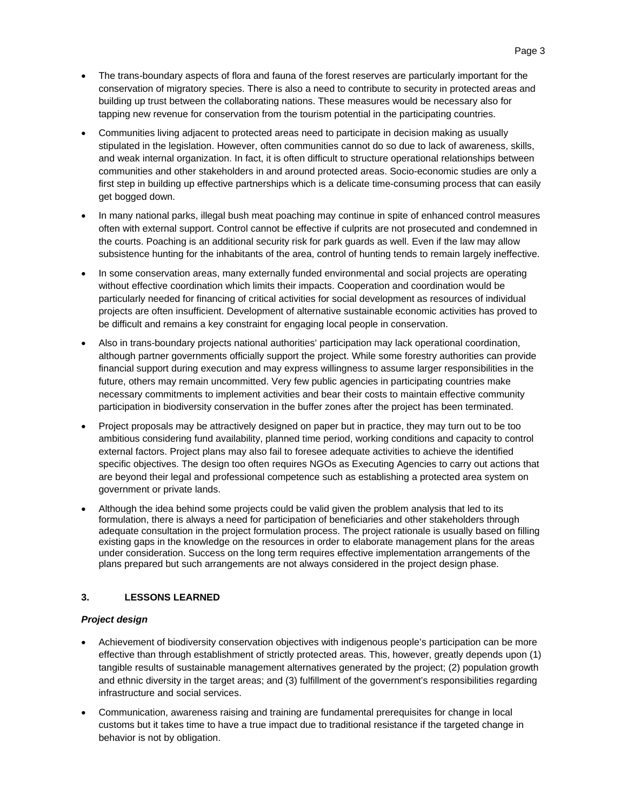- The trans-boundary aspects of flora and fauna of the forest reserves are particularly important for the conservation of migratory species. There is also a need to contribute to security in protected areas and building up trust between the collaborating nations. These measures would be necessary also for tapping new revenue for conservation from the tourism potential in the participating countries.
- Communities living adjacent to protected areas need to participate in decision making as usually stipulated in the legislation. However, often communities cannot do so due to lack of awareness, skills, and weak internal organization. In fact, it is often difficult to structure operational relationships between communities and other stakeholders in and around protected areas. Socio-economic studies are only a first step in building up effective partnerships which is a delicate time-consuming process that can easily get bogged down.
- In many national parks, illegal bush meat poaching may continue in spite of enhanced control measures often with external support. Control cannot be effective if culprits are not prosecuted and condemned in the courts. Poaching is an additional security risk for park guards as well. Even if the law may allow subsistence hunting for the inhabitants of the area, control of hunting tends to remain largely ineffective.
- In some conservation areas, many externally funded environmental and social projects are operating without effective coordination which limits their impacts. Cooperation and coordination would be particularly needed for financing of critical activities for social development as resources of individual projects are often insufficient. Development of alternative sustainable economic activities has proved to be difficult and remains a key constraint for engaging local people in conservation.
- Also in trans-boundary projects national authorities' participation may lack operational coordination, although partner governments officially support the project. While some forestry authorities can provide financial support during execution and may express willingness to assume larger responsibilities in the future, others may remain uncommitted. Very few public agencies in participating countries make necessary commitments to implement activities and bear their costs to maintain effective community participation in biodiversity conservation in the buffer zones after the project has been terminated.
- Project proposals may be attractively designed on paper but in practice, they may turn out to be too ambitious considering fund availability, planned time period, working conditions and capacity to control external factors. Project plans may also fail to foresee adequate activities to achieve the identified specific objectives. The design too often requires NGOs as Executing Agencies to carry out actions that are beyond their legal and professional competence such as establishing a protected area system on government or private lands.
- Although the idea behind some projects could be valid given the problem analysis that led to its formulation, there is always a need for participation of beneficiaries and other stakeholders through adequate consultation in the project formulation process. The project rationale is usually based on filling existing gaps in the knowledge on the resources in order to elaborate management plans for the areas under consideration. Success on the long term requires effective implementation arrangements of the plans prepared but such arrangements are not always considered in the project design phase.

## **3. LESSONS LEARNED**

## *Project design*

- Achievement of biodiversity conservation objectives with indigenous people's participation can be more effective than through establishment of strictly protected areas. This, however, greatly depends upon (1) tangible results of sustainable management alternatives generated by the project; (2) population growth and ethnic diversity in the target areas; and (3) fulfillment of the government's responsibilities regarding infrastructure and social services.
- Communication, awareness raising and training are fundamental prerequisites for change in local customs but it takes time to have a true impact due to traditional resistance if the targeted change in behavior is not by obligation.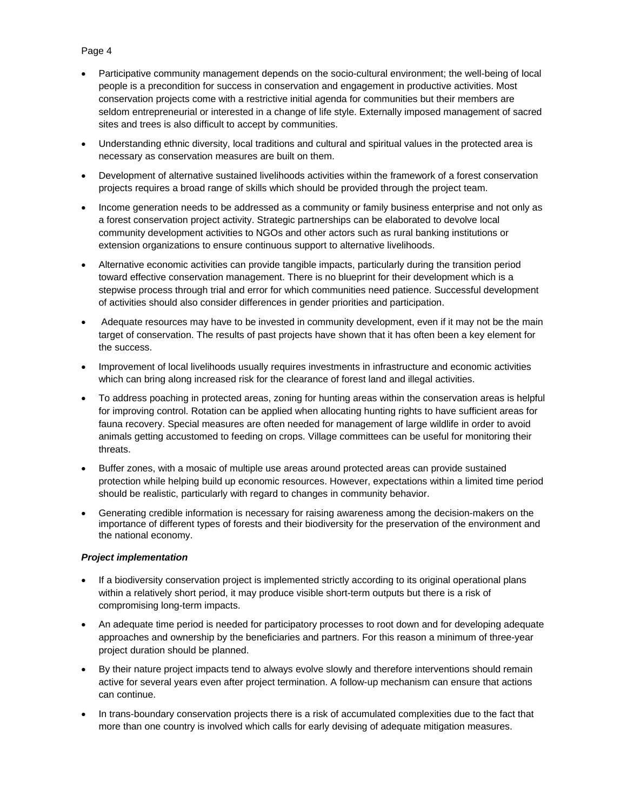## Page 4

- Participative community management depends on the socio-cultural environment; the well-being of local people is a precondition for success in conservation and engagement in productive activities. Most conservation projects come with a restrictive initial agenda for communities but their members are seldom entrepreneurial or interested in a change of life style. Externally imposed management of sacred sites and trees is also difficult to accept by communities.
- Understanding ethnic diversity, local traditions and cultural and spiritual values in the protected area is necessary as conservation measures are built on them.
- Development of alternative sustained livelihoods activities within the framework of a forest conservation projects requires a broad range of skills which should be provided through the project team.
- Income generation needs to be addressed as a community or family business enterprise and not only as a forest conservation project activity. Strategic partnerships can be elaborated to devolve local community development activities to NGOs and other actors such as rural banking institutions or extension organizations to ensure continuous support to alternative livelihoods.
- Alternative economic activities can provide tangible impacts, particularly during the transition period toward effective conservation management. There is no blueprint for their development which is a stepwise process through trial and error for which communities need patience. Successful development of activities should also consider differences in gender priorities and participation.
- Adequate resources may have to be invested in community development, even if it may not be the main target of conservation. The results of past projects have shown that it has often been a key element for the success.
- Improvement of local livelihoods usually requires investments in infrastructure and economic activities which can bring along increased risk for the clearance of forest land and illegal activities.
- To address poaching in protected areas, zoning for hunting areas within the conservation areas is helpful for improving control. Rotation can be applied when allocating hunting rights to have sufficient areas for fauna recovery. Special measures are often needed for management of large wildlife in order to avoid animals getting accustomed to feeding on crops. Village committees can be useful for monitoring their threats.
- Buffer zones, with a mosaic of multiple use areas around protected areas can provide sustained protection while helping build up economic resources. However, expectations within a limited time period should be realistic, particularly with regard to changes in community behavior.
- Generating credible information is necessary for raising awareness among the decision-makers on the importance of different types of forests and their biodiversity for the preservation of the environment and the national economy.

#### *Project implementation*

- If a biodiversity conservation project is implemented strictly according to its original operational plans within a relatively short period, it may produce visible short-term outputs but there is a risk of compromising long-term impacts.
- An adequate time period is needed for participatory processes to root down and for developing adequate approaches and ownership by the beneficiaries and partners. For this reason a minimum of three-year project duration should be planned.
- By their nature project impacts tend to always evolve slowly and therefore interventions should remain active for several years even after project termination. A follow-up mechanism can ensure that actions can continue.
- In trans-boundary conservation projects there is a risk of accumulated complexities due to the fact that more than one country is involved which calls for early devising of adequate mitigation measures.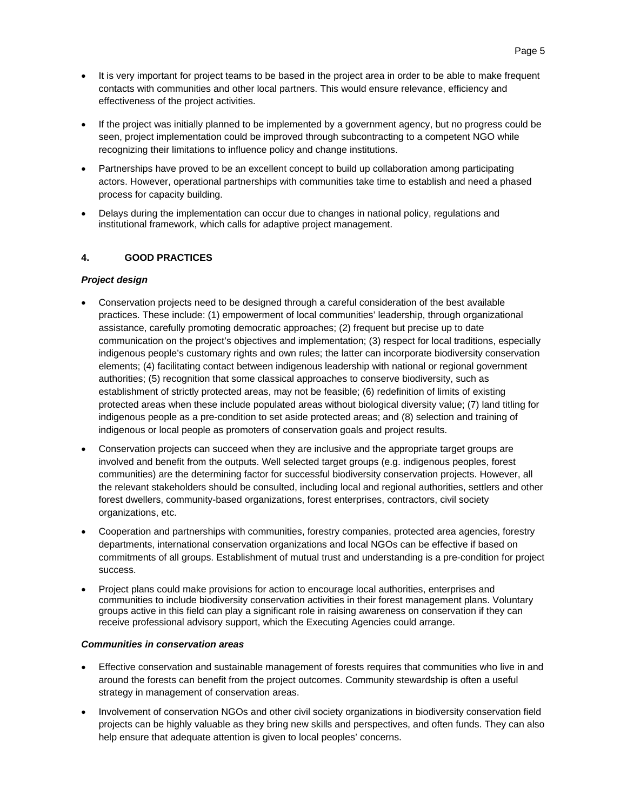- It is very important for project teams to be based in the project area in order to be able to make frequent contacts with communities and other local partners. This would ensure relevance, efficiency and effectiveness of the project activities.
- If the project was initially planned to be implemented by a government agency, but no progress could be seen, project implementation could be improved through subcontracting to a competent NGO while recognizing their limitations to influence policy and change institutions.
- Partnerships have proved to be an excellent concept to build up collaboration among participating actors. However, operational partnerships with communities take time to establish and need a phased process for capacity building.
- Delays during the implementation can occur due to changes in national policy, regulations and institutional framework, which calls for adaptive project management.

## **4. GOOD PRACTICES**

## *Project design*

- Conservation projects need to be designed through a careful consideration of the best available practices. These include: (1) empowerment of local communities' leadership, through organizational assistance, carefully promoting democratic approaches; (2) frequent but precise up to date communication on the project's objectives and implementation; (3) respect for local traditions, especially indigenous people's customary rights and own rules; the latter can incorporate biodiversity conservation elements; (4) facilitating contact between indigenous leadership with national or regional government authorities; (5) recognition that some classical approaches to conserve biodiversity, such as establishment of strictly protected areas, may not be feasible; (6) redefinition of limits of existing protected areas when these include populated areas without biological diversity value; (7) land titling for indigenous people as a pre-condition to set aside protected areas; and (8) selection and training of indigenous or local people as promoters of conservation goals and project results.
- Conservation projects can succeed when they are inclusive and the appropriate target groups are involved and benefit from the outputs. Well selected target groups (e.g. indigenous peoples, forest communities) are the determining factor for successful biodiversity conservation projects. However, all the relevant stakeholders should be consulted, including local and regional authorities, settlers and other forest dwellers, community-based organizations, forest enterprises, contractors, civil society organizations, etc.
- Cooperation and partnerships with communities, forestry companies, protected area agencies, forestry departments, international conservation organizations and local NGOs can be effective if based on commitments of all groups. Establishment of mutual trust and understanding is a pre-condition for project success.
- Project plans could make provisions for action to encourage local authorities, enterprises and communities to include biodiversity conservation activities in their forest management plans. Voluntary groups active in this field can play a significant role in raising awareness on conservation if they can receive professional advisory support, which the Executing Agencies could arrange.

## *Communities in conservation areas*

- Effective conservation and sustainable management of forests requires that communities who live in and around the forests can benefit from the project outcomes. Community stewardship is often a useful strategy in management of conservation areas.
- Involvement of conservation NGOs and other civil society organizations in biodiversity conservation field projects can be highly valuable as they bring new skills and perspectives, and often funds. They can also help ensure that adequate attention is given to local peoples' concerns.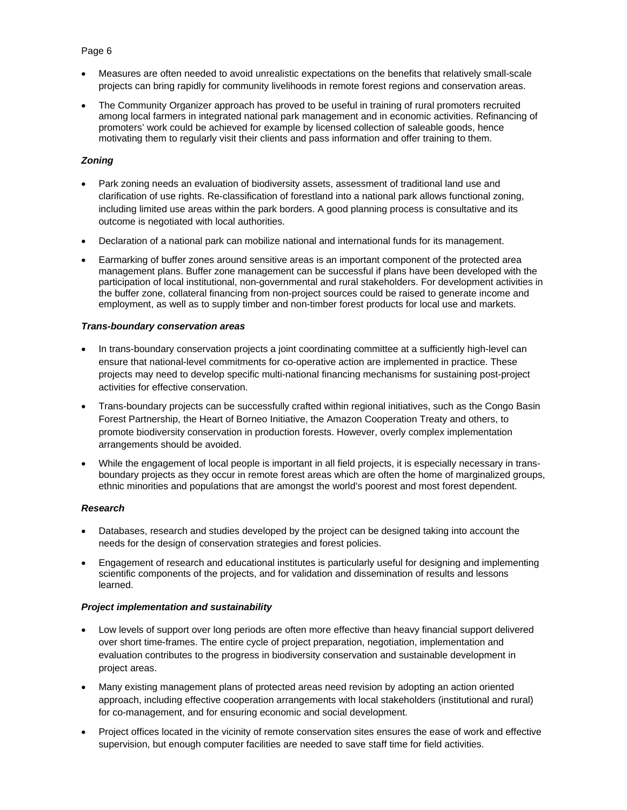#### Page 6

- Measures are often needed to avoid unrealistic expectations on the benefits that relatively small-scale projects can bring rapidly for community livelihoods in remote forest regions and conservation areas.
- The Community Organizer approach has proved to be useful in training of rural promoters recruited among local farmers in integrated national park management and in economic activities. Refinancing of promoters' work could be achieved for example by licensed collection of saleable goods, hence motivating them to regularly visit their clients and pass information and offer training to them.

## *Zoning*

- Park zoning needs an evaluation of biodiversity assets, assessment of traditional land use and clarification of use rights. Re-classification of forestland into a national park allows functional zoning, including limited use areas within the park borders. A good planning process is consultative and its outcome is negotiated with local authorities.
- Declaration of a national park can mobilize national and international funds for its management.
- Earmarking of buffer zones around sensitive areas is an important component of the protected area management plans. Buffer zone management can be successful if plans have been developed with the participation of local institutional, non-governmental and rural stakeholders. For development activities in the buffer zone, collateral financing from non-project sources could be raised to generate income and employment, as well as to supply timber and non-timber forest products for local use and markets.

#### *Trans-boundary conservation areas*

- In trans-boundary conservation projects a joint coordinating committee at a sufficiently high-level can ensure that national-level commitments for co-operative action are implemented in practice. These projects may need to develop specific multi-national financing mechanisms for sustaining post-project activities for effective conservation.
- Trans-boundary projects can be successfully crafted within regional initiatives, such as the Congo Basin Forest Partnership, the Heart of Borneo Initiative, the Amazon Cooperation Treaty and others, to promote biodiversity conservation in production forests. However, overly complex implementation arrangements should be avoided.
- While the engagement of local people is important in all field projects, it is especially necessary in transboundary projects as they occur in remote forest areas which are often the home of marginalized groups, ethnic minorities and populations that are amongst the world's poorest and most forest dependent.

#### *Research*

- Databases, research and studies developed by the project can be designed taking into account the needs for the design of conservation strategies and forest policies.
- Engagement of research and educational institutes is particularly useful for designing and implementing scientific components of the projects, and for validation and dissemination of results and lessons learned.

## *Project implementation and sustainability*

- Low levels of support over long periods are often more effective than heavy financial support delivered over short time-frames. The entire cycle of project preparation, negotiation, implementation and evaluation contributes to the progress in biodiversity conservation and sustainable development in project areas.
- Many existing management plans of protected areas need revision by adopting an action oriented approach, including effective cooperation arrangements with local stakeholders (institutional and rural) for co-management, and for ensuring economic and social development.
- Project offices located in the vicinity of remote conservation sites ensures the ease of work and effective supervision, but enough computer facilities are needed to save staff time for field activities.